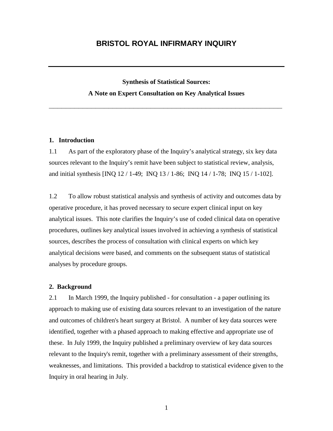# **BRISTOL ROYAL INFIRMARY INQUIRY**

# **Synthesis of Statistical Sources: A Note on Expert Consultation on Key Analytical Issues**

**\_\_\_\_\_\_\_\_\_\_\_\_\_\_\_\_\_\_\_\_\_\_\_\_\_\_\_\_\_\_\_\_\_\_\_\_\_\_\_\_\_\_\_\_\_\_\_\_\_\_\_\_\_\_\_**

### **1. Introduction**

1.1 As part of the exploratory phase of the Inquiry's analytical strategy, six key data sources relevant to the Inquiry's remit have been subject to statistical review, analysis, and initial synthesis [INQ 12 / 1-49; INQ 13 / 1-86; INQ 14 / 1-78; INQ 15 / 1-102].

1.2 To allow robust statistical analysis and synthesis of activity and outcomes data by operative procedure, it has proved necessary to secure expert clinical input on key analytical issues. This note clarifies the Inquiry's use of coded clinical data on operative procedures, outlines key analytical issues involved in achieving a synthesis of statistical sources, describes the process of consultation with clinical experts on which key analytical decisions were based, and comments on the subsequent status of statistical analyses by procedure groups.

### **2. Background**

2.1 In March 1999, the Inquiry published - for consultation - a paper outlining its approach to making use of existing data sources relevant to an investigation of the nature and outcomes of children's heart surgery at Bristol. A number of key data sources were identified, together with a phased approach to making effective and appropriate use of these. In July 1999, the Inquiry published a preliminary overview of key data sources relevant to the Inquiry's remit, together with a preliminary assessment of their strengths, weaknesses, and limitations. This provided a backdrop to statistical evidence given to the Inquiry in oral hearing in July.

1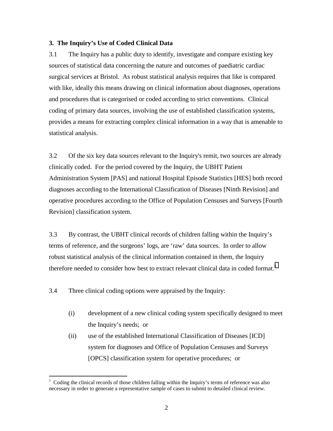## **3. The Inquiry's Use of Coded Clinical Data**

3.1 The Inquiry has a public duty to identify, investigate and compare existing key sources of statistical data concerning the nature and outcomes of paediatric cardiac surgical services at Bristol. As robust statistical analysis requires that like is compared with like, ideally this means drawing on clinical information about diagnoses, operations and procedures that is categorised or coded according to strict conventions. Clinical coding of primary data sources, involving the use of established classification systems, provides a means for extracting complex clinical information in a way that is amenable to statistical analysis.

3.2 Of the six key data sources relevant to the Inquiry's remit, two sources are already clinically coded. For the period covered by the Inquiry, the UBHT Patient Administration System [PAS] and national Hospital Episode Statistics [HES] both record diagnoses according to the International Classification of Diseases [Ninth Revision] and operative procedures according to the Office of Population Censuses and Surveys [Fourth Revision] classification system.

3.3 By contrast, the UBHT clinical records of children falling within the Inquiry's terms of reference, and the surgeons' logs, are 'raw' data sources. In order to allow robust statistical analysis of the clinical information contained in them, the Inquiry therefore needed to consider how best to extract relevant clinical data in coded format.<sup>1</sup>

3.4 Three clinical coding options were appraised by the Inquiry:

 $\overline{a}$ 

- (i) development of a new clinical coding system specifically designed to meet the Inquiry's needs; or
- (ii) use of the established International Classification of Diseases [ICD] system for diagnoses and Office of Population Censuses and Surveys [OPCS] classification system for operative procedures; or

<sup>1</sup> Coding the clinical records of those children falling within the Inquiry's terms of reference was also necessary in order to generate a representative sample of cases to submit to detailed clinical review.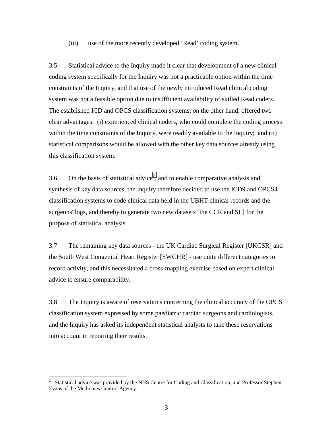(iii) use of the more recently developed 'Read' coding system.

3.5 Statistical advice to the Inquiry made it clear that development of a new clinical coding system specifically for the Inquiry was not a practicable option within the time constraints of the Inquiry, and that use of the newly introduced Read clinical coding system was not a feasible option due to insufficient availability of skilled Read coders. The established ICD and OPCS classification systems, on the other hand, offered two clear advantages: (i) experienced clinical coders, who could complete the coding process within the time constraints of the Inquiry, were readily available to the Inquiry; and (ii) statistical comparisons would be allowed with the other key data sources already using this classification system.

3.6 On the basis of statistical advice<sup>2</sup>, and to enable comparative analysis and synthesis of key data sources, the Inquiry therefore decided to use the ICD9 and OPCS4 classification systems to code clinical data held in the UBHT clinical records and the surgeons' logs, and thereby to generate two new datasets [the CCR and SL] for the purpose of statistical analysis.

3.7 The remaining key data sources - the UK Cardiac Surgical Register [UKCSR] and the South West Congenital Heart Register [SWCHR] - use quite different categories to record activity, and this necessitated a cross-mapping exercise based on expert clinical advice to ensure comparability.

3.8 The Inquiry is aware of reservations concerning the clinical accuracy of the OPCS classification system expressed by some paediatric cardiac surgeons and cardiologists, and the Inquiry has asked its independent statistical analysts to take these reservations into account in reporting their results.

 $\frac{1}{2}$  Statistical advice was provided by the NHS Centre for Coding and Classification, and Professor Stephen Evans of the Medicines Control Agency.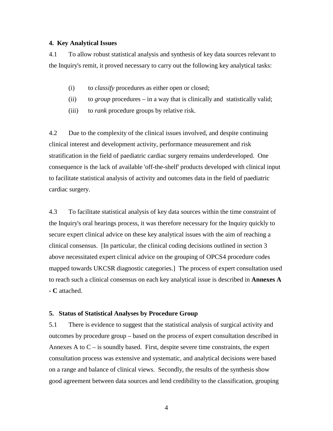## **4. Key Analytical Issues**

4.1 To allow robust statistical analysis and synthesis of key data sources relevant to the Inquiry's remit, it proved necessary to carry out the following key analytical tasks:

- (i) to *classify* procedures as either open or closed;
- (ii) to *group* procedures in a way that is clinically and statistically valid;
- (iii) to *rank* procedure groups by relative risk.

4.2 Due to the complexity of the clinical issues involved, and despite continuing clinical interest and development activity, performance measurement and risk stratification in the field of paediatric cardiac surgery remains underdeveloped. One consequence is the lack of available 'off-the-shelf' products developed with clinical input to facilitate statistical analysis of activity and outcomes data in the field of paediatric cardiac surgery.

4.3 To facilitate statistical analysis of key data sources within the time constraint of the Inquiry's oral hearings process, it was therefore necessary for the Inquiry quickly to secure expert clinical advice on these key analytical issues with the aim of reaching a clinical consensus. [In particular, the clinical coding decisions outlined in section 3 above necessitated expert clinical advice on the grouping of OPCS4 procedure codes mapped towards UKCSR diagnostic categories.] The process of expert consultation used to reach such a clinical consensus on each key analytical issue is described in **Annexes A - C** attached.

### **5. Status of Statistical Analyses by Procedure Group**

5.1 There is evidence to suggest that the statistical analysis of surgical activity and outcomes by procedure group – based on the process of expert consultation described in Annexes A to  $C -$  is soundly based. First, despite severe time constraints, the expert consultation process was extensive and systematic, and analytical decisions were based on a range and balance of clinical views. Secondly, the results of the synthesis show good agreement between data sources and lend credibility to the classification, grouping

4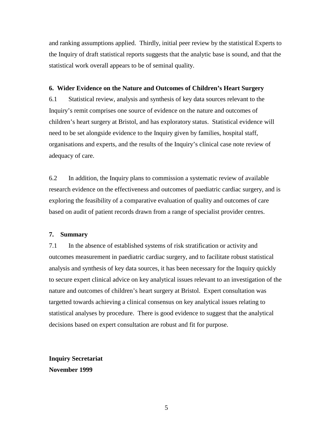and ranking assumptions applied. Thirdly, initial peer review by the statistical Experts to the Inquiry of draft statistical reports suggests that the analytic base is sound, and that the statistical work overall appears to be of seminal quality.

### **6. Wider Evidence on the Nature and Outcomes of Children's Heart Surgery**

6.1 Statistical review, analysis and synthesis of key data sources relevant to the Inquiry's remit comprises one source of evidence on the nature and outcomes of children's heart surgery at Bristol, and has exploratory status. Statistical evidence will need to be set alongside evidence to the Inquiry given by families, hospital staff, organisations and experts, and the results of the Inquiry's clinical case note review of adequacy of care.

6.2 In addition, the Inquiry plans to commission a systematic review of available research evidence on the effectiveness and outcomes of paediatric cardiac surgery, and is exploring the feasibility of a comparative evaluation of quality and outcomes of care based on audit of patient records drawn from a range of specialist provider centres.

## **7. Summary**

7.1 In the absence of established systems of risk stratification or activity and outcomes measurement in paediatric cardiac surgery, and to facilitate robust statistical analysis and synthesis of key data sources, it has been necessary for the Inquiry quickly to secure expert clinical advice on key analytical issues relevant to an investigation of the nature and outcomes of children's heart surgery at Bristol. Expert consultation was targetted towards achieving a clinical consensus on key analytical issues relating to statistical analyses by procedure. There is good evidence to suggest that the analytical decisions based on expert consultation are robust and fit for purpose.

**Inquiry Secretariat November 1999**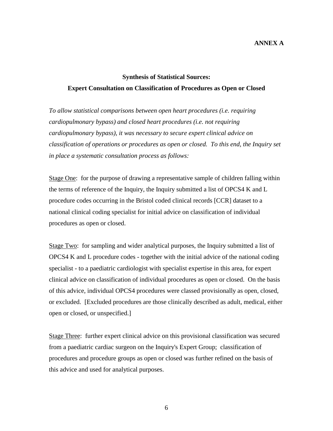# **ANNEX A**

# **Synthesis of Statistical Sources: Expert Consultation on Classification of Procedures as Open or Closed**

*To allow statistical comparisons between open heart procedures (i.e. requiring cardiopulmonary bypass) and closed heart procedures (i.e. not requiring cardiopulmonary bypass), it was necessary to secure expert clinical advice on classification of operations or procedures as open or closed. To this end, the Inquiry set in place a systematic consultation process as follows:* 

Stage One: for the purpose of drawing a representative sample of children falling within the terms of reference of the Inquiry, the Inquiry submitted a list of OPCS4 K and L procedure codes occurring in the Bristol coded clinical records [CCR] dataset to a national clinical coding specialist for initial advice on classification of individual procedures as open or closed.

Stage Two: for sampling and wider analytical purposes, the Inquiry submitted a list of OPCS4 K and L procedure codes - together with the initial advice of the national coding specialist - to a paediatric cardiologist with specialist expertise in this area, for expert clinical advice on classification of individual procedures as open or closed. On the basis of this advice, individual OPCS4 procedures were classed provisionally as open, closed, or excluded. [Excluded procedures are those clinically described as adult, medical, either open or closed, or unspecified.]

Stage Three: further expert clinical advice on this provisional classification was secured from a paediatric cardiac surgeon on the Inquiry's Expert Group; classification of procedures and procedure groups as open or closed was further refined on the basis of this advice and used for analytical purposes.

 $\sim$  6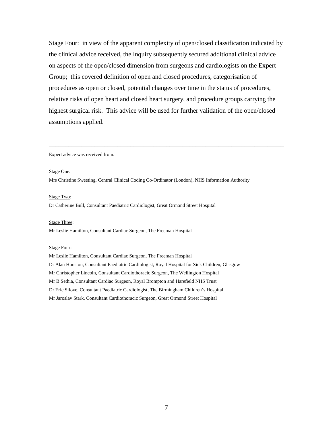Stage Four: in view of the apparent complexity of open/closed classification indicated by the clinical advice received, the Inquiry subsequently secured additional clinical advice on aspects of the open/closed dimension from surgeons and cardiologists on the Expert Group; this covered definition of open and closed procedures, categorisation of procedures as open or closed, potential changes over time in the status of procedures, relative risks of open heart and closed heart surgery, and procedure groups carrying the highest surgical risk. This advice will be used for further validation of the open/closed assumptions applied.

\_\_\_\_\_\_\_\_\_\_\_\_\_\_\_\_\_\_\_\_\_\_\_\_\_\_\_\_\_\_\_\_\_\_\_\_\_\_\_\_\_\_\_\_\_\_\_\_\_\_\_\_\_\_\_\_\_\_\_\_\_\_\_\_\_\_\_\_\_\_\_\_

Expert advice was received from:

### Stage One:

Mrs Christine Sweeting, Central Clinical Coding Co-Ordinator (London), NHS Information Authority

### Stage Two:

Dr Catherine Bull, Consultant Paediatric Cardiologist, Great Ormond Street Hospital

### Stage Three:

Mr Leslie Hamilton, Consultant Cardiac Surgeon, The Freeman Hospital

#### Stage Four:

Mr Leslie Hamilton, Consultant Cardiac Surgeon, The Freeman Hospital Dr Alan Houston, Consultant Paediatric Cardiologist, Royal Hospital for Sick Children, Glasgow Mr Christopher Lincoln, Consultant Cardiothoracic Surgeon, The Wellington Hospital Mr B Sethia, Consultant Cardiac Surgeon, Royal Brompton and Harefield NHS Trust Dr Eric Silove, Consultant Paediatric Cardiologist, The Birmingham Children's Hospital Mr Jaroslav Stark, Consultant Cardiothoracic Surgeon, Great Ormond Street Hospital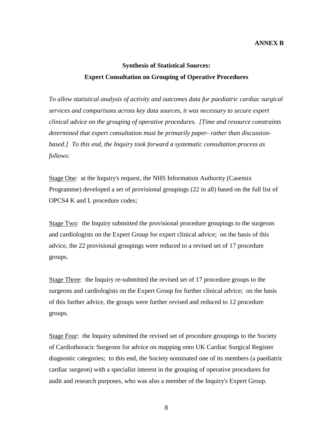## **ANNEX B**

# **Synthesis of Statistical Sources: Expert Consultation on Grouping of Operative Procedures**

*To allow statistical analysis of activity and outcomes data for paediatric cardiac surgical services and comparisons across key data sources, it was necessary to secure expert clinical advice on the grouping of operative procedures. [Time and resource constraints determined that expert consultation must be primarily paper- rather than discussionbased.] To this end, the Inquiry took forward a systematic consultation process as follows:* 

Stage One: at the Inquiry's request, the NHS Information Authority (Casemix Programme) developed a set of provisional groupings (22 in all) based on the full list of OPCS4 K and L procedure codes;

Stage Two: the Inquiry submitted the provisional procedure groupings to the surgeons and cardiologists on the Expert Group for expert clinical advice; on the basis of this advice, the 22 provisional groupings were reduced to a revised set of 17 procedure groups.

Stage Three: the Inquiry re-submitted the revised set of 17 procedure groups to the surgeons and cardiologists on the Expert Group for further clinical advice; on the basis of this further advice, the groups were further revised and reduced to 12 procedure groups.

Stage Four: the Inquiry submitted the revised set of procedure groupings to the Society of Cardiothoracic Surgeons for advice on mapping onto UK Cardiac Surgical Register diagnostic categories; to this end, the Society nominated one of its members (a paediatric cardiac surgeon) with a specialist interest in the grouping of operative procedures for audit and research purposes, who was also a member of the Inquiry's Expert Group.

8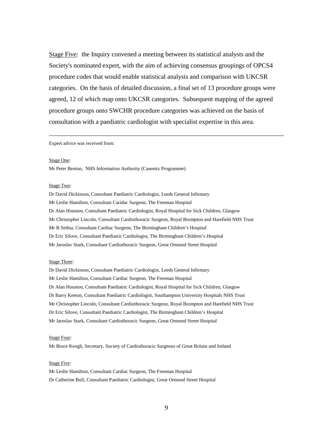Stage Five: the Inquiry convened a meeting between its statistical analysts and the Society's nominated expert, with the aim of achieving consensus groupings of OPCS4 procedure codes that would enable statistical analysis and comparison with UKCSR categories. On the basis of detailed discussion, a final set of 13 procedure groups were agreed, 12 of which map onto UKCSR categories. Subsequent mapping of the agreed procedure groups onto SWCHR procedure categories was achieved on the basis of consultation with a paediatric cardiologist with specialist expertise in this area.

\_\_\_\_\_\_\_\_\_\_\_\_\_\_\_\_\_\_\_\_\_\_\_\_\_\_\_\_\_\_\_\_\_\_\_\_\_\_\_\_\_\_\_\_\_\_\_\_\_\_\_\_\_\_\_\_\_\_\_\_\_\_\_\_\_\_\_\_\_\_\_\_

#### Expert advice was received from:

#### Stage One:

Mr Peter Benton, NHS Information Authority (Casemix Programme)

### Stage Two:

Dr David Dickinson, Consultant Paediatric Cardiologist, Leeds General Infirmary Mr Leslie Hamilton, Consultant Caridac Surgeon, The Freeman Hospital Dr Alan Houston, Consultant Paediatric Cardiologist, Royal Hospital for Sick Children, Glasgow Mr Christopher Lincoln, Consultant Cardiothoracic Surgeon, Royal Brompton and Harefield NHS Trust Mr B Sethia, Consultant Cardiac Surgeon, The Birmingham Children's Hospital Dr Eric Silove, Consultant Paediatric Cardiologist, The Birmingham Children's Hospital Mr Jaroslav Stark, Consultant Cardiothoracic Surgeon, Great Ormond Street Hospital

#### Stage Three:

Dr David Dickinson, Consultant Paediatric Cardiologist, Leeds General Infirmary Mr Leslie Hamilton, Consultant Cardiac Surgeon, The Freeman Hospital Dr Alan Houston, Consultant Paediatric Cardiologist, Royal Hospital for Sick Children, Glasgow Dr Barry Keeton, Consultant Paediatric Cardiologist, Southampton University Hospitals NHS Trust Mr Christopher Lincoln, Consultant Cardiothoracic Surgeon, Royal Brompton and Harefield NHS Trust Dr Eric Silove, Consultant Paediatric Cardiologist, The Birmingham Children's Hospital Mr Jaroslav Stark, Consultant Cardiothoracic Surgeon, Great Ormond Street Hospital

#### Stage Four:

Mr Bruce Keogh, Secretary, Society of Cardiothoracic Surgeons of Great Britain and Ireland

#### Stage Five:

Mr Leslie Hamilton, Consultant Cardiac Surgeon, The Freeman Hospital Dr Catherine Bull, Consultant Paediatric Cardiologist, Great Ormond Street Hospital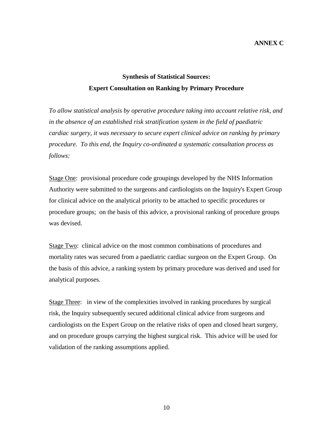## **ANNEX C**

# **Synthesis of Statistical Sources: Expert Consultation on Ranking by Primary Procedure**

*To allow statistical analysis by operative procedure taking into account relative risk, and in the absence of an established risk stratification system in the field of paediatric cardiac surgery, it was necessary to secure expert clinical advice on ranking by primary procedure. To this end, the Inquiry co-ordinated a systematic consultation process as follows:* 

Stage One: provisional procedure code groupings developed by the NHS Information Authority were submitted to the surgeons and cardiologists on the Inquiry's Expert Group for clinical advice on the analytical priority to be attached to specific procedures or procedure groups; on the basis of this advice, a provisional ranking of procedure groups was devised.

Stage Two: clinical advice on the most common combinations of procedures and mortality rates was secured from a paediatric cardiac surgeon on the Expert Group. On the basis of this advice, a ranking system by primary procedure was derived and used for analytical purposes.

Stage Three: in view of the complexities involved in ranking procedures by surgical risk, the Inquiry subsequently secured additional clinical advice from surgeons and cardiologists on the Expert Group on the relative risks of open and closed heart surgery, and on procedure groups carrying the highest surgical risk. This advice will be used for validation of the ranking assumptions applied.